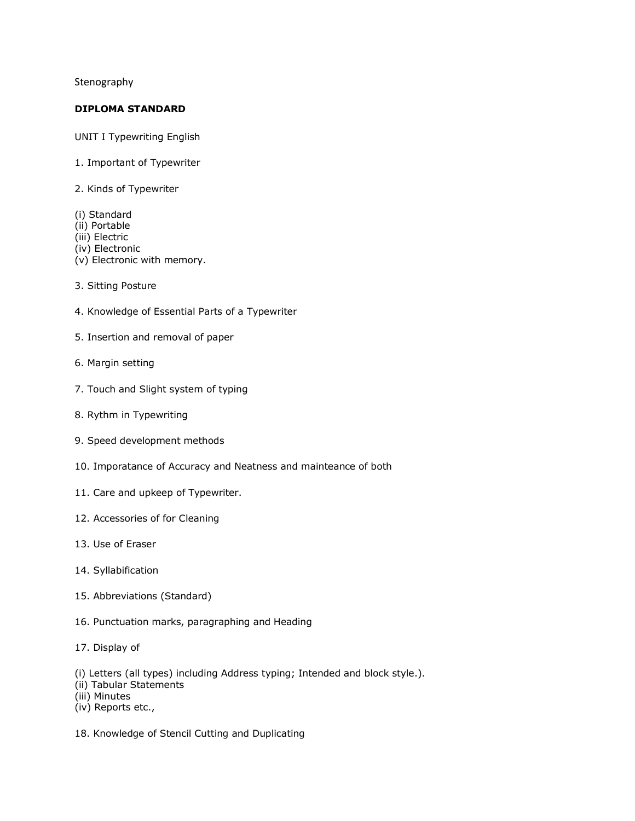Stenography

## **DIPLOMA STANDARD**

UNIT I Typewriting English

- 1. Important of Typewriter
- 2. Kinds of Typewriter
- (i) Standard (ii) Portable (iii) Electric (iv) Electronic (v) Electronic with memory.
- 3. Sitting Posture
- 4. Knowledge of Essential Parts of a Typewriter
- 5. Insertion and removal of paper
- 6. Margin setting
- 7. Touch and Slight system of typing
- 8. Rythm in Typewriting
- 9. Speed development methods
- 10. Imporatance of Accuracy and Neatness and mainteance of both
- 11. Care and upkeep of Typewriter.
- 12. Accessories of for Cleaning
- 13. Use of Eraser
- 14. Syllabification
- 15. Abbreviations (Standard)
- 16. Punctuation marks, paragraphing and Heading
- 17. Display of

(i) Letters (all types) including Address typing; Intended and block style.).

- (ii) Tabular Statements
- (iii) Minutes
- (iv) Reports etc.,
- 18. Knowledge of Stencil Cutting and Duplicating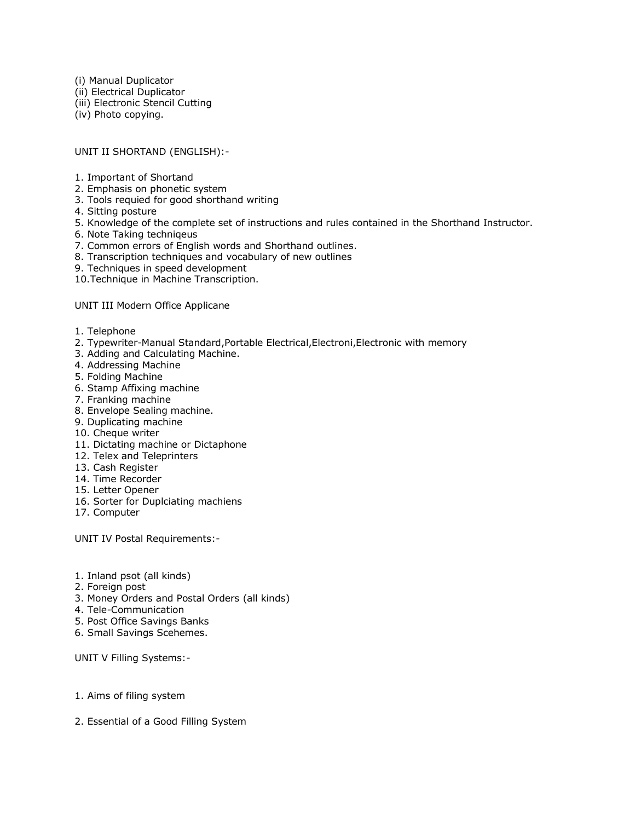(i) Manual Duplicator (ii) Electrical Duplicator (iii) Electronic Stencil Cutting (iv) Photo copying.

UNIT II SHORTAND (ENGLISH):-

- 1. Important of Shortand
- 2. Emphasis on phonetic system
- 3. Tools requied for good shorthand writing
- 4. Sitting posture
- 5. Knowledge of the complete set of instructions and rules contained in the Shorthand Instructor.
- 6. Note Taking techniqeus
- 7. Common errors of English words and Shorthand outlines.
- 8. Transcription techniques and vocabulary of new outlines
- 9. Techniques in speed development
- 10.Technique in Machine Transcription.

UNIT III Modern Office Applicane

- 1. Telephone
- 2. Typewriter-Manual Standard,Portable Electrical,Electroni,Electronic with memory
- 3. Adding and Calculating Machine.
- 4. Addressing Machine
- 5. Folding Machine
- 6. Stamp Affixing machine
- 7. Franking machine
- 8. Envelope Sealing machine.
- 9. Duplicating machine
- 10. Cheque writer
- 11. Dictating machine or Dictaphone
- 12. Telex and Teleprinters
- 13. Cash Register
- 14. Time Recorder
- 15. Letter Opener
- 16. Sorter for Duplciating machiens
- 17. Computer

UNIT IV Postal Requirements:-

- 1. Inland psot (all kinds)
- 2. Foreign post
- 3. Money Orders and Postal Orders (all kinds)
- 4. Tele-Communication
- 5. Post Office Savings Banks
- 6. Small Savings Scehemes.

UNIT V Filling Systems:-

- 1. Aims of filing system
- 2. Essential of a Good Filling System